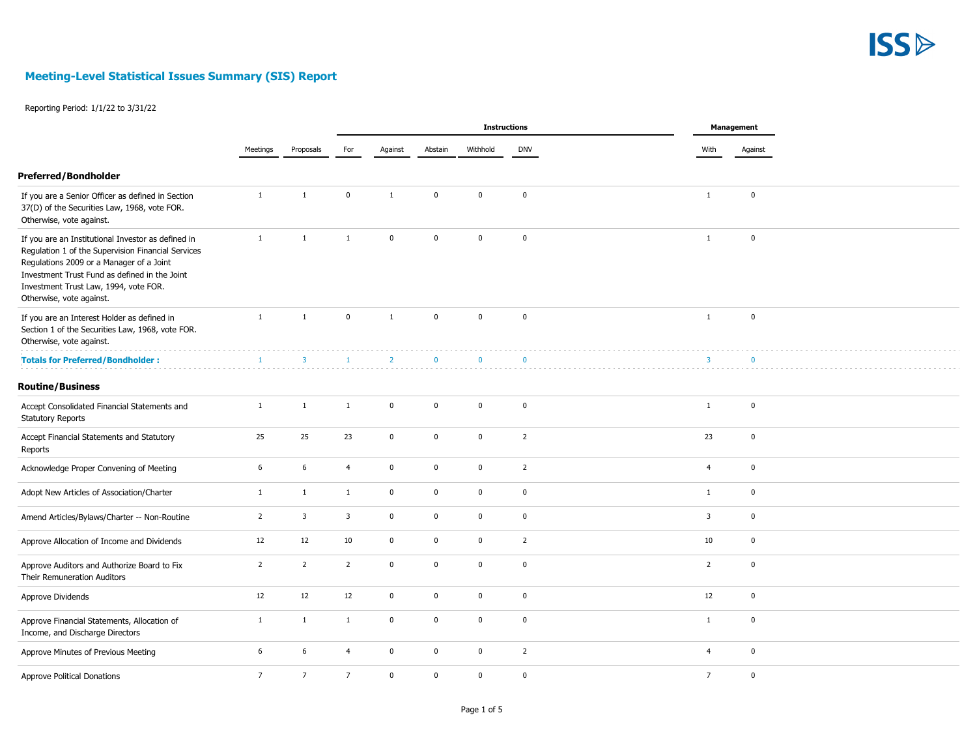

|                                                                                                                                                                                                                                                                            |                |                 | <b>Instructions</b> |                |              |              |                |  | Management              |              |  |
|----------------------------------------------------------------------------------------------------------------------------------------------------------------------------------------------------------------------------------------------------------------------------|----------------|-----------------|---------------------|----------------|--------------|--------------|----------------|--|-------------------------|--------------|--|
|                                                                                                                                                                                                                                                                            | Meetings       | Proposals       | For                 | Against        | Abstain      | Withhold     | <b>DNV</b>     |  | With                    | Against      |  |
| <b>Preferred/Bondholder</b>                                                                                                                                                                                                                                                |                |                 |                     |                |              |              |                |  |                         |              |  |
| If you are a Senior Officer as defined in Section<br>37(D) of the Securities Law, 1968, vote FOR.<br>Otherwise, vote against.                                                                                                                                              | $\mathbf{1}$   | $\mathbf{1}$    | $\mathbf{0}$        | $\mathbf{1}$   | $\Omega$     | $\mathbf 0$  | $\mathbf 0$    |  | $\mathbf{1}$            | $\mathbf 0$  |  |
| If you are an Institutional Investor as defined in<br>Regulation 1 of the Supervision Financial Services<br>Regulations 2009 or a Manager of a Joint<br>Investment Trust Fund as defined in the Joint<br>Investment Trust Law, 1994, vote FOR.<br>Otherwise, vote against. | $\mathbf{1}$   | $\overline{1}$  | $\mathbf{1}$        | $\Omega$       | $\Omega$     | $\mathbf{0}$ | $\mathbf 0$    |  | $\overline{1}$          | $\mathbf 0$  |  |
| If you are an Interest Holder as defined in<br>Section 1 of the Securities Law, 1968, vote FOR.<br>Otherwise, vote against.                                                                                                                                                | $\mathbf{1}$   | $\mathbf{1}$    | $\pmb{0}$           | $\mathbf{1}$   | $\pmb{0}$    | $\mathbf 0$  | $\pmb{0}$      |  | $\mathbf{1}$            | $\pmb{0}$    |  |
| <b>Totals for Preferred/Bondholder:</b>                                                                                                                                                                                                                                    | $\overline{1}$ | $\overline{3}$  | $\mathbf{1}$        | $\overline{2}$ | $\Omega$     | $\mathbf{0}$ | $\Omega$       |  | $\overline{\mathbf{3}}$ | $\mathbf{0}$ |  |
| <b>Routine/Business</b>                                                                                                                                                                                                                                                    |                |                 |                     |                |              |              |                |  |                         |              |  |
| Accept Consolidated Financial Statements and<br><b>Statutory Reports</b>                                                                                                                                                                                                   | $\mathbf{1}$   | $\mathbf{1}$    | $\mathbf{1}$        | $\mathbf{0}$   | $\mathbf{0}$ | $\mathbf 0$  | $\mathbf 0$    |  | $\mathbf{1}$            | $\pmb{0}$    |  |
| Accept Financial Statements and Statutory<br>Reports                                                                                                                                                                                                                       | 25             | 25              | 23                  | $\mathbf 0$    | $\mathbf 0$  | $\mathbf 0$  | $\overline{2}$ |  | 23                      | $\pmb{0}$    |  |
| Acknowledge Proper Convening of Meeting                                                                                                                                                                                                                                    | 6              | 6               | $\overline{4}$      | $\mathbf 0$    | $\mathbf 0$  | $\pmb{0}$    | $\overline{2}$ |  | $\overline{4}$          | $\mathbf 0$  |  |
| Adopt New Articles of Association/Charter                                                                                                                                                                                                                                  | 1              | $\mathbf{1}$    | $\mathbf{1}$        | $\mathbf 0$    | $\mathbf{0}$ | $\mathbf 0$  | $\mathbf 0$    |  | $\mathbf{1}$            | $\pmb{0}$    |  |
| Amend Articles/Bylaws/Charter -- Non-Routine                                                                                                                                                                                                                               | $\overline{2}$ | 3               | $\mathbf{3}$        | $\mathbf 0$    | $\pmb{0}$    | $\mathbf 0$  | $\pmb{0}$      |  | 3                       | $\pmb{0}$    |  |
| Approve Allocation of Income and Dividends                                                                                                                                                                                                                                 | 12             | 12              | 10                  | $\mathbf 0$    | $\pmb{0}$    | 0            | $\overline{2}$ |  | 10                      | $\mathbf 0$  |  |
| Approve Auditors and Authorize Board to Fix<br>Their Remuneration Auditors                                                                                                                                                                                                 | $\overline{2}$ | $\overline{2}$  | $\overline{2}$      | $\mathbf 0$    | $\mathbf 0$  | $\mathbf 0$  | $\mathbf 0$    |  | $\overline{2}$          | $\pmb{0}$    |  |
| Approve Dividends                                                                                                                                                                                                                                                          | 12             | 12              | 12                  | $\mathbf 0$    | $\pmb{0}$    | $\mathbf 0$  | $\mathbf 0$    |  | 12                      | $\pmb{0}$    |  |
| Approve Financial Statements, Allocation of<br>Income, and Discharge Directors                                                                                                                                                                                             | $\mathbf{1}$   | $\mathbf{1}$    | $\mathbf{1}$        | $\mathbf 0$    | $\mathbf{0}$ | $\mathbf 0$  | $\pmb{0}$      |  | $\mathbf{1}$            | $\pmb{0}$    |  |
| Approve Minutes of Previous Meeting                                                                                                                                                                                                                                        | 6              | 6               | $\overline{4}$      | $\mathbf 0$    | $\mathbf 0$  | $\mathbf 0$  | $\overline{2}$ |  | $\overline{4}$          | $\pmb{0}$    |  |
| <b>Approve Political Donations</b>                                                                                                                                                                                                                                         | $\overline{7}$ | $7\overline{ }$ | $\overline{7}$      | $\mathbf 0$    | $\pmb{0}$    | 0            | $\mathbf 0$    |  | $\overline{7}$          | $\pmb{0}$    |  |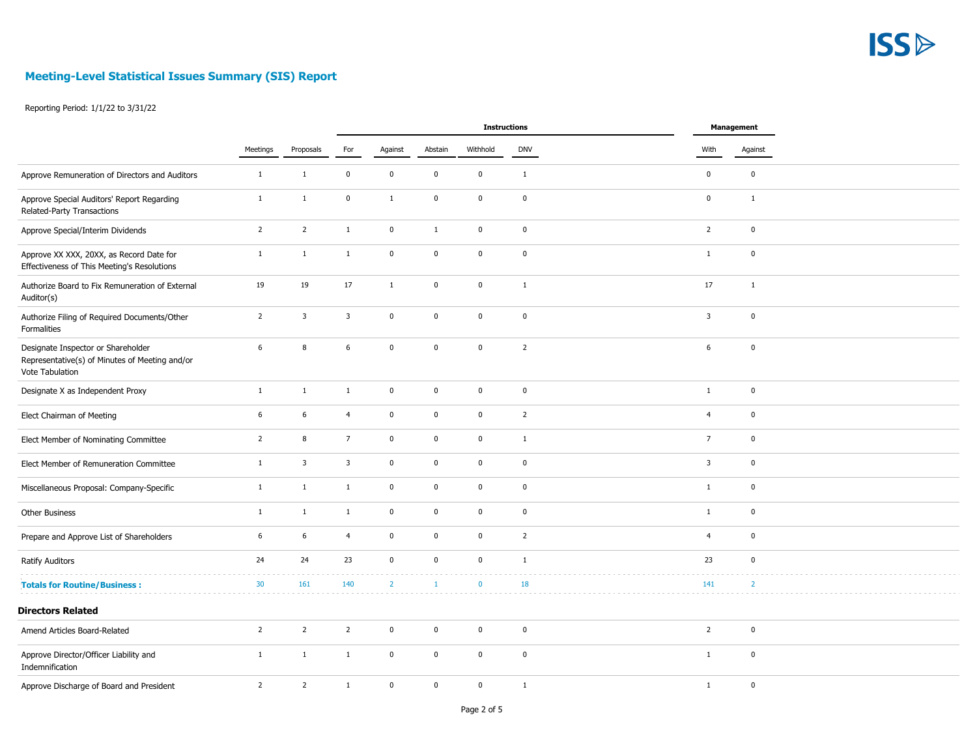

|                                                                                                         |                |                         | <b>Instructions</b> |                |              |              |                |  |                | Management     |  |
|---------------------------------------------------------------------------------------------------------|----------------|-------------------------|---------------------|----------------|--------------|--------------|----------------|--|----------------|----------------|--|
|                                                                                                         | Meetings       | Proposals               | For                 | Against        | Abstain      | Withhold     | <b>DNV</b>     |  | With           | Against        |  |
| Approve Remuneration of Directors and Auditors                                                          | $\mathbf{1}$   | $\mathbf{1}$            | $\mathbf 0$         | $\pmb{0}$      | $\mathbf 0$  | $\mathbf 0$  | $\mathbf 1$    |  | $\mathbf 0$    | $\mathbf 0$    |  |
| Approve Special Auditors' Report Regarding<br>Related-Party Transactions                                | $\mathbf{1}$   | $\mathbf{1}$            | $\pmb{0}$           | $\mathbf{1}$   | $\pmb{0}$    | $\mathbf 0$  | $\mathbf 0$    |  | $\mathbf 0$    | $1\,$          |  |
| Approve Special/Interim Dividends                                                                       | $\overline{2}$ | $\overline{2}$          | $\mathbf{1}$        | $\pmb{0}$      | $\mathbf{1}$ | $\mathbf 0$  | $\mathbf 0$    |  | $\overline{2}$ | $\mathbf 0$    |  |
| Approve XX XXX, 20XX, as Record Date for<br>Effectiveness of This Meeting's Resolutions                 | $\mathbf{1}$   | $\mathbf{1}$            | $\mathbf{1}$        | $\pmb{0}$      | $\mathbf 0$  | $\mathbf 0$  | $\pmb{0}$      |  | $\mathbf{1}$   | $\mathbf 0$    |  |
| Authorize Board to Fix Remuneration of External<br>Auditor(s)                                           | 19             | 19                      | 17                  | $\mathbf{1}$   | $\mathbf{0}$ | $\mathbf 0$  | $\mathbf{1}$   |  | 17             | $\mathbf{1}$   |  |
| Authorize Filing of Required Documents/Other<br>Formalities                                             | $\overline{2}$ | $\overline{\mathbf{3}}$ | $\overline{3}$      | $\pmb{0}$      | $\mathbf 0$  | $\mathbf 0$  | $\pmb{0}$      |  | $\overline{3}$ | $\mathbf 0$    |  |
| Designate Inspector or Shareholder<br>Representative(s) of Minutes of Meeting and/or<br>Vote Tabulation | 6              | 8                       | $\epsilon$          | $\pmb{0}$      | $\mathbf 0$  | $\mathbf 0$  | $\overline{2}$ |  | 6              | $\mathbf 0$    |  |
| Designate X as Independent Proxy                                                                        | $\mathbf{1}$   | $\mathbf{1}$            | $\mathbf{1}$        | $\pmb{0}$      | $\mathbf 0$  | $\mathbf 0$  | $\pmb{0}$      |  | $\mathbf{1}$   | $\mathbf 0$    |  |
| Elect Chairman of Meeting                                                                               | 6              | 6                       | $\overline{4}$      | $\pmb{0}$      | $\mathbf 0$  | $\mathbf 0$  | $\overline{2}$ |  | $\overline{4}$ | $\mathbf 0$    |  |
| Elect Member of Nominating Committee                                                                    | $\overline{2}$ | 8                       | $\overline{7}$      | $\pmb{0}$      | $\mathbf 0$  | $\mathbf 0$  | $\mathbf{1}$   |  | $\overline{7}$ | $\mathbf 0$    |  |
| Elect Member of Remuneration Committee                                                                  | $\mathbf{1}$   | $\overline{\mathbf{3}}$ | $\overline{3}$      | $\pmb{0}$      | $\mathbf 0$  | $\mathbf 0$  | $\mathbf 0$    |  | $\overline{3}$ | $\mathbf 0$    |  |
| Miscellaneous Proposal: Company-Specific                                                                | $\mathbf 1$    | $\mathbf{1}$            | $\mathbf{1}$        | $\pmb{0}$      | $\mathbf 0$  | $\mathbf 0$  | $\mathbf 0$    |  | $\mathbf{1}$   | $\mathbf 0$    |  |
| Other Business                                                                                          | $\mathbf{1}$   | $\mathbf{1}$            | $\mathbf{1}$        | $\pmb{0}$      | $\mathbf 0$  | $\mathbf 0$  | $\pmb{0}$      |  | $\mathbf{1}$   | $\mathbf 0$    |  |
| Prepare and Approve List of Shareholders                                                                | 6              | $\,$ 6                  | $\overline{4}$      | $\pmb{0}$      | $\mathbf 0$  | $\mathbf 0$  | $\overline{2}$ |  | $\overline{4}$ | $\mathbf 0$    |  |
| <b>Ratify Auditors</b>                                                                                  | 24             | 24                      | 23                  | $\mathbf{0}$   | $\mathbf 0$  | $\mathbf{0}$ | $\mathbf{1}$   |  | 23             | $\mathbf 0$    |  |
| <b>Totals for Routine/Business:</b>                                                                     | 30             | 161                     | 140                 | $\overline{2}$ | $\mathbf{1}$ | $\mathbf{0}$ | 18             |  | 141            | $\overline{2}$ |  |
| <b>Directors Related</b>                                                                                |                |                         |                     |                |              |              |                |  |                |                |  |
| Amend Articles Board-Related                                                                            | $\overline{2}$ | 2                       | $\overline{2}$      | $\pmb{0}$      | $\mathbf 0$  | $\mathbf 0$  | $\mathbf 0$    |  | $\overline{2}$ | $\mathbf 0$    |  |
| Approve Director/Officer Liability and<br>Indemnification                                               | $\mathbf{1}$   | $\mathbf{1}$            | $\mathbf{1}$        | $\mathbf{0}$   | $\mathbf 0$  | $\mathbf 0$  | $\mathbf 0$    |  | $\mathbf{1}$   | $\mathbf 0$    |  |
| Approve Discharge of Board and President                                                                | $\overline{2}$ | $\overline{2}$          | $\mathbf{1}$        | $\mathbf{0}$   | $\mathbf 0$  | $\mathbf 0$  | $\mathbf{1}$   |  | $\mathbf{1}$   | $\mathbf 0$    |  |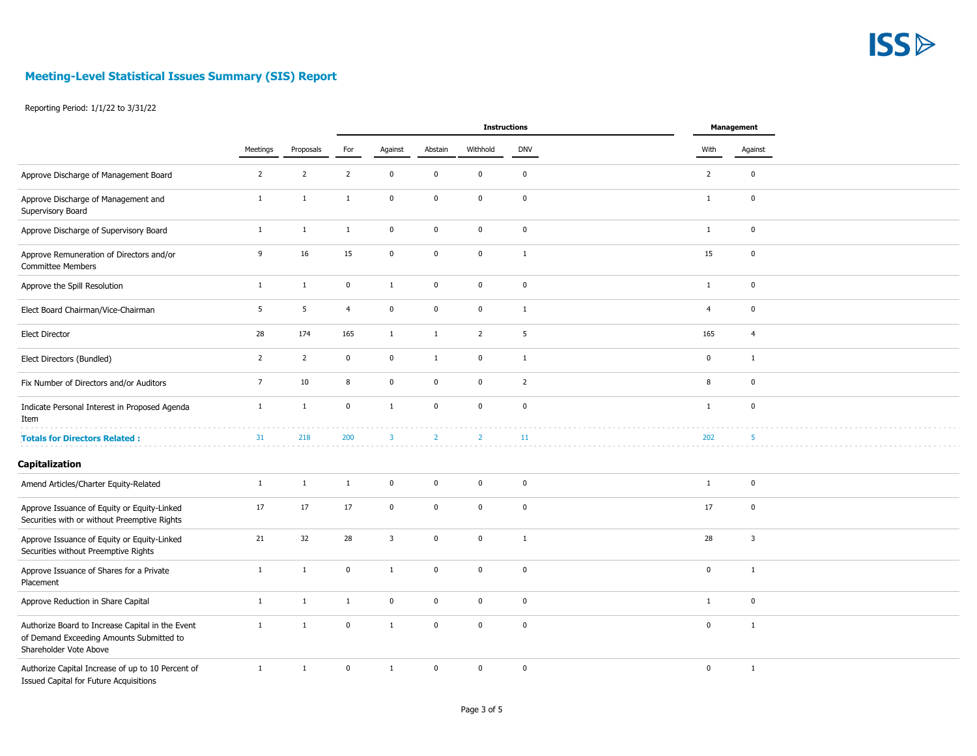

|                                                                                                                        |                |                | <b>Instructions</b> |                |                |                |                |  | Management     |                |  |
|------------------------------------------------------------------------------------------------------------------------|----------------|----------------|---------------------|----------------|----------------|----------------|----------------|--|----------------|----------------|--|
|                                                                                                                        | Meetings       | Proposals      | For                 | Against        | Abstain        | Withhold       | <b>DNV</b>     |  | With           | Against        |  |
| Approve Discharge of Management Board                                                                                  | $\overline{2}$ | $\overline{2}$ | $\overline{2}$      | $\pmb{0}$      | $\pmb{0}$      | $\mathbf 0$    | $\mathbf 0$    |  | $\overline{2}$ | $\mathbf 0$    |  |
| Approve Discharge of Management and<br>Supervisory Board                                                               | $\mathbf{1}$   | $\mathbf 1$    | $\mathbf{1}$        | $\pmb{0}$      | $\pmb{0}$      | $\mathbf 0$    | $\mathbf 0$    |  | $\mathbf{1}$   | $\mathbf 0$    |  |
| Approve Discharge of Supervisory Board                                                                                 | $\mathbf{1}$   | $\mathbf{1}$   | $\mathbf{1}$        | $\pmb{0}$      | $\pmb{0}$      | $\mathbf 0$    | $\mathbf 0$    |  | $\mathbf{1}$   | $\pmb{0}$      |  |
| Approve Remuneration of Directors and/or<br><b>Committee Members</b>                                                   | 9              | 16             | 15                  | $\pmb{0}$      | $\pmb{0}$      | $\mathbf 0$    | $\mathbf{1}$   |  | 15             | $\mathbf 0$    |  |
| Approve the Spill Resolution                                                                                           | $\mathbf{1}$   | $\mathbf{1}$   | $\mathbf 0$         | $\mathbf{1}$   | $\pmb{0}$      | $\mathbf 0$    | $\mathbf 0$    |  | $\mathbf{1}$   | $\pmb{0}$      |  |
| Elect Board Chairman/Vice-Chairman                                                                                     | 5              | 5              | $\overline{4}$      | $\pmb{0}$      | $\pmb{0}$      | $\mathbf 0$    | $\mathbf{1}$   |  | $\overline{4}$ | $\pmb{0}$      |  |
| <b>Elect Director</b>                                                                                                  | 28             | 174            | 165                 | $\mathbf{1}$   | $\mathbf{1}$   | $\overline{2}$ | 5              |  | 165            | $\overline{4}$ |  |
| Elect Directors (Bundled)                                                                                              | $\overline{2}$ | $\overline{2}$ | $\pmb{0}$           | $\bf{0}$       | $\mathbf{1}$   | $\mathbf 0$    | $\mathbf{1}$   |  | $\mathbf 0$    | $\mathbf{1}$   |  |
| Fix Number of Directors and/or Auditors                                                                                | $\overline{7}$ | $10\,$         | $\,$ 8              | $\pmb{0}$      | $\pmb{0}$      | $\mathbf 0$    | $\overline{2}$ |  | 8              | $\mathbf 0$    |  |
| Indicate Personal Interest in Proposed Agenda<br>Item                                                                  | $\mathbf{1}$   | $\mathbf 1$    | $\mathbf 0$         | $\mathbf{1}$   | $\pmb{0}$      | $\mathbf 0$    | $\pmb{0}$      |  | $\mathbf{1}$   | $\mathbf 0$    |  |
| <b>Totals for Directors Related:</b>                                                                                   | 31             | 218            | 200                 | $\overline{3}$ | $\overline{2}$ | $\overline{2}$ | 11             |  | 202            | 5              |  |
| Capitalization                                                                                                         |                |                |                     |                |                |                |                |  |                |                |  |
| Amend Articles/Charter Equity-Related                                                                                  | $1\,$          | $\mathbf 1$    | $\mathbf{1}$        | $\pmb{0}$      | $\pmb{0}$      | $\mathbf 0$    | $\mathbf 0$    |  | $\mathbf{1}$   | $\mathbf 0$    |  |
| Approve Issuance of Equity or Equity-Linked<br>Securities with or without Preemptive Rights                            | 17             | $17\,$         | 17                  | $\pmb{0}$      | $\pmb{0}$      | $\mathbf 0$    | $\mathbf 0$    |  | 17             | $\pmb{0}$      |  |
| Approve Issuance of Equity or Equity-Linked<br>Securities without Preemptive Rights                                    | 21             | 32             | 28                  | $\mathbf{3}$   | $\pmb{0}$      | $\mathbf 0$    | $\mathbf{1}$   |  | 28             | 3              |  |
| Approve Issuance of Shares for a Private<br>Placement                                                                  | $\mathbf{1}$   | $\mathbf{1}$   | $\mathbf 0$         | $\mathbf{1}$   | $\mathbf{0}$   | $\mathbf 0$    | $\mathbf 0$    |  | $\pmb{0}$      | $\mathbf{1}$   |  |
| Approve Reduction in Share Capital                                                                                     | $\mathbf{1}$   | $\mathbf{1}$   | $\mathbf{1}$        | $\pmb{0}$      | $\mathbf{0}$   | $\mathbf 0$    | $\pmb{0}$      |  | $\mathbf{1}$   | $\mathbf 0$    |  |
| Authorize Board to Increase Capital in the Event<br>of Demand Exceeding Amounts Submitted to<br>Shareholder Vote Above | $\mathbf{1}$   | $\mathbf{1}$   | $\mathbf 0$         | $\mathbf{1}$   | $\mathbf{0}$   | $\mathbf{0}$   | $\pmb{0}$      |  | $\mathbf 0$    | $\mathbf{1}$   |  |
| Authorize Capital Increase of up to 10 Percent of<br>Issued Capital for Future Acquisitions                            | $\mathbf{1}$   | $\mathbf{1}$   | $\pmb{0}$           | $\mathbf{1}$   | $\mathbf 0$    | $\mathbf 0$    | $\mathbf 0$    |  | $\mathbf 0$    | $\mathbf{1}$   |  |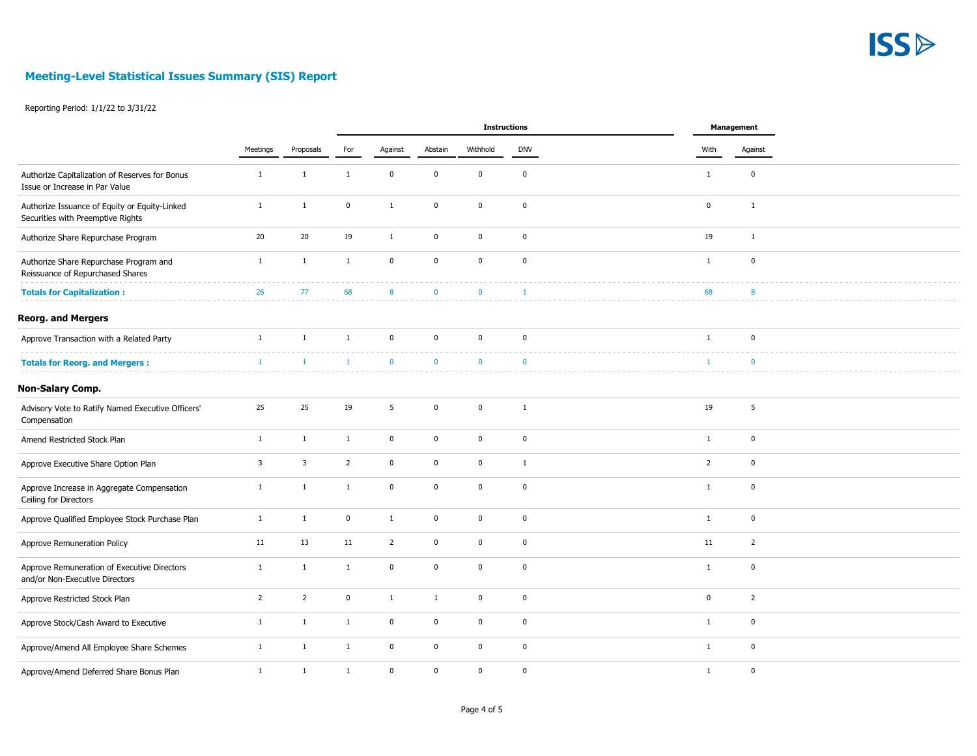

|                                                                                    |                |                         |                |                |              | Instructions |                | Management                    |  |
|------------------------------------------------------------------------------------|----------------|-------------------------|----------------|----------------|--------------|--------------|----------------|-------------------------------|--|
|                                                                                    | Meetings       | Proposals               | For            | Against        | Abstain      | Withhold     | <b>DNV</b>     | With<br>Against               |  |
| Authorize Capitalization of Reserves for Bonus<br>Issue or Increase in Par Value   | $\mathbf{1}$   | $\mathbf{1}$            | $\mathbf{1}$   | $\pmb{0}$      | $\mathbf 0$  | $\mathbf 0$  | $\pmb{0}$      | $\pmb{0}$<br>$\mathbf{1}$     |  |
| Authorize Issuance of Equity or Equity-Linked<br>Securities with Preemptive Rights | $\mathbf{1}$   | $\mathbf{1}$            | $\mathbf 0$    | $\mathbf{1}$   | $\mathbf 0$  | $\mathbf 0$  | $\mathbf 0$    | $\mathbf 0$<br>$\mathbf{1}$   |  |
| Authorize Share Repurchase Program                                                 | 20             | 20                      | 19             | $\mathbf{1}$   | $\Omega$     | $\mathbf{0}$ | $\mathbf 0$    | 19<br>$\mathbf{1}$            |  |
| Authorize Share Repurchase Program and<br>Reissuance of Repurchased Shares         | $1\,$          | $\mathbf{1}$            | $\,1\,$        | $\mathbf{0}$   | $\mathbf 0$  | $\mathbf{0}$ | $\mathbf 0$    | $\mathbf 0$<br>$\mathbf{1}$   |  |
| <b>Totals for Capitalization:</b>                                                  | 26             | 77                      | 68             | 8              | $\mathbf{0}$ | $\mathbf{0}$ | $\overline{1}$ | 68<br>8                       |  |
| <b>Reorg. and Mergers</b>                                                          |                |                         |                |                |              |              |                |                               |  |
| Approve Transaction with a Related Party                                           | $\mathbf{1}$   | $\mathbf{1}$            | $\mathbf{1}$   | $\pmb{0}$      | $\mathbf{0}$ | $\mathbf 0$  | $\mathbf 0$    | $\mathbf 0$<br>$\mathbf{1}$   |  |
| <b>Totals for Reorg. and Mergers:</b>                                              | $\overline{1}$ | $\mathbf{1}$            | $\mathbf{1}$   | $\Omega$       | $\mathbf{0}$ | $\mathbf{0}$ | $\mathbf{0}$   | $\Omega$<br>$\overline{1}$    |  |
| Non-Salary Comp.                                                                   |                |                         |                |                |              |              |                |                               |  |
| Advisory Vote to Ratify Named Executive Officers'<br>Compensation                  | 25             | 25                      | 19             | 5              | $\mathbf{0}$ | $\mathbf 0$  | $\mathbf{1}$   | 5<br>19                       |  |
| Amend Restricted Stock Plan                                                        | $\mathbf{1}$   | $\mathbf{1}$            | $\mathbf{1}$   | $\pmb{0}$      | $\mathbf 0$  | $\mathbf 0$  | $\pmb{0}$      | $\pmb{0}$<br>$\mathbf{1}$     |  |
| Approve Executive Share Option Plan                                                | $\overline{3}$ | $\overline{\mathbf{3}}$ | $\overline{2}$ | $\mathbf{0}$   | $\mathbf{0}$ | $\mathbf{0}$ | $\mathbf{1}$   | $\overline{2}$<br>$\mathbf 0$ |  |
| Approve Increase in Aggregate Compensation<br>Ceiling for Directors                | $\mathbf{1}$   | $\mathbf{1}$            | $\mathbf{1}$   | $\pmb{0}$      | $\mathbf 0$  | $\mathbf 0$  | $\mathbf 0$    | $\mathbf 0$<br>$\mathbf{1}$   |  |
| Approve Qualified Employee Stock Purchase Plan                                     | $\mathbf{1}$   | $\mathbf{1}$            | $\pmb{0}$      | $\mathbf{1}$   | $\mathbf 0$  | $\mathbf 0$  | $\mathbf 0$    | $\mathbf 0$<br>$\mathbf{1}$   |  |
| Approve Remuneration Policy                                                        | 11             | 13                      | 11             | $\overline{2}$ | $\mathbf 0$  | $\mathbf 0$  | $\pmb{0}$      | $\overline{2}$<br>11          |  |
| Approve Remuneration of Executive Directors<br>and/or Non-Executive Directors      | $\mathbf{1}$   | $\mathbf{1}$            | $\mathbf{1}$   | $\mathbf 0$    | $\mathbf{0}$ | $\mathbf 0$  | $\mathbf 0$    | $\mathbf 0$<br>$\mathbf{1}$   |  |
| Approve Restricted Stock Plan                                                      | $\overline{2}$ | $\overline{2}$          | $\mathbf 0$    | $\mathbf{1}$   | $\mathbf{1}$ | $\mathbf 0$  | $\mathbf 0$    | $\mathbf 0$<br>$\overline{2}$ |  |
| Approve Stock/Cash Award to Executive                                              | $\mathbf{1}$   | $\mathbf{1}$            | $\mathbf{1}$   | $\pmb{0}$      | $\mathbf 0$  | $\mathbf 0$  | $\pmb{0}$      | $\mathbf 0$<br>$\mathbf{1}$   |  |
| Approve/Amend All Employee Share Schemes                                           | $\mathbf{1}$   | $\mathbf{1}$            | $\mathbf{1}$   | $\pmb{0}$      | $\mathbf 0$  | $\mathbf 0$  | $\mathbf 0$    | $\pmb{0}$<br>$\mathbf{1}$     |  |
| Approve/Amend Deferred Share Bonus Plan                                            | $\mathbf{1}$   | $\mathbf{1}$            | $\mathbf{1}$   | $\pmb{0}$      | $\mathbf 0$  | $\mathbf 0$  | $\mathbf 0$    | $\mathbf 0$<br>$\mathbf{1}$   |  |